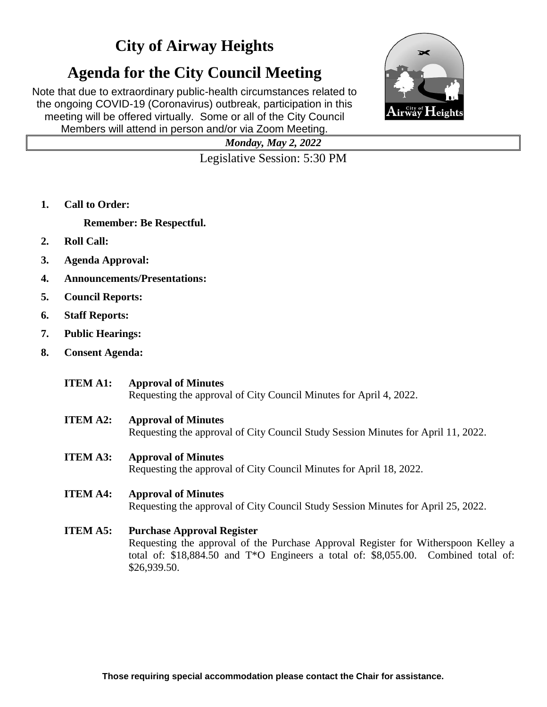## **City of Airway Heights**

# **Agenda for the City Council Meeting**

Note that due to extraordinary public-health circumstances related to the ongoing COVID-19 (Coronavirus) outbreak, participation in this meeting will be offered virtually. Some or all of the City Council Members will attend in person and/or via Zoom Meeting.



*Monday, May 2, 2022*

Legislative Session: 5:30 PM

**1. Call to Order:**

**Remember: Be Respectful.**

- **2. Roll Call:**
- **3. Agenda Approval:**
- **4. Announcements/Presentations:**
- **5. Council Reports:**
- **6. Staff Reports:**
- **7. Public Hearings:**
- **8. Consent Agenda:**
	- **ITEM A1: Approval of Minutes** Requesting the approval of City Council Minutes for April 4, 2022.
	- **ITEM A2: Approval of Minutes**

Requesting the approval of City Council Study Session Minutes for April 11, 2022.

- **ITEM A3: Approval of Minutes** Requesting the approval of City Council Minutes for April 18, 2022.
- **ITEM A4: Approval of Minutes**

Requesting the approval of City Council Study Session Minutes for April 25, 2022.

**ITEM A5: Purchase Approval Register**

Requesting the approval of the Purchase Approval Register for Witherspoon Kelley a total of: \$18,884.50 and T\*O Engineers a total of: \$8,055.00. Combined total of: \$26,939.50.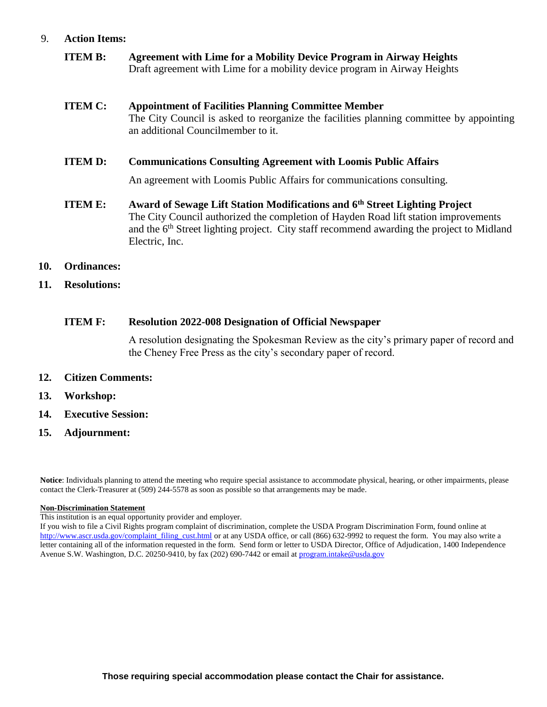#### 9. **Action Items:**

**ITEM B: Agreement with Lime for a Mobility Device Program in Airway Heights** Draft agreement with Lime for a mobility device program in Airway Heights

### **ITEM C: Appointment of Facilities Planning Committee Member** The City Council is asked to reorganize the facilities planning committee by appointing an additional Councilmember to it.

**ITEM D: Communications Consulting Agreement with Loomis Public Affairs**

An agreement with Loomis Public Affairs for communications consulting.

- **ITEM E: Award of Sewage Lift Station Modifications and 6th Street Lighting Project** The City Council authorized the completion of Hayden Road lift station improvements and the 6<sup>th</sup> Street lighting project. City staff recommend awarding the project to Midland Electric, Inc.
- **10. Ordinances:**
- **11. Resolutions:**

#### **ITEM F: Resolution 2022-008 Designation of Official Newspaper**

A resolution designating the Spokesman Review as the city's primary paper of record and the Cheney Free Press as the city's secondary paper of record.

- **12. Citizen Comments:**
- **13. Workshop:**
- **14. Executive Session:**
- **15. Adjournment:**

**Notice**: Individuals planning to attend the meeting who require special assistance to accommodate physical, hearing, or other impairments, please contact the Clerk-Treasurer at (509) 244-5578 as soon as possible so that arrangements may be made.

#### **Non-Discrimination Statement**

This institution is an equal opportunity provider and employer.

If you wish to file a Civil Rights program complaint of discrimination, complete the USDA Program Discrimination Form, found online at [http://www.ascr.usda.gov/complaint\\_filing\\_cust.html](http://www.ascr.usda.gov/complaint_filing_cust.html) or at any USDA office, or call (866) 632-9992 to request the form. You may also write a letter containing all of the information requested in the form. Send form or letter to USDA Director, Office of Adjudication, 1400 Independence Avenue S.W. Washington, D.C. 20250-9410, by fax (202) 690-7442 or email at [program.intake@usda.gov](mailto:program.intake@usda.gov)